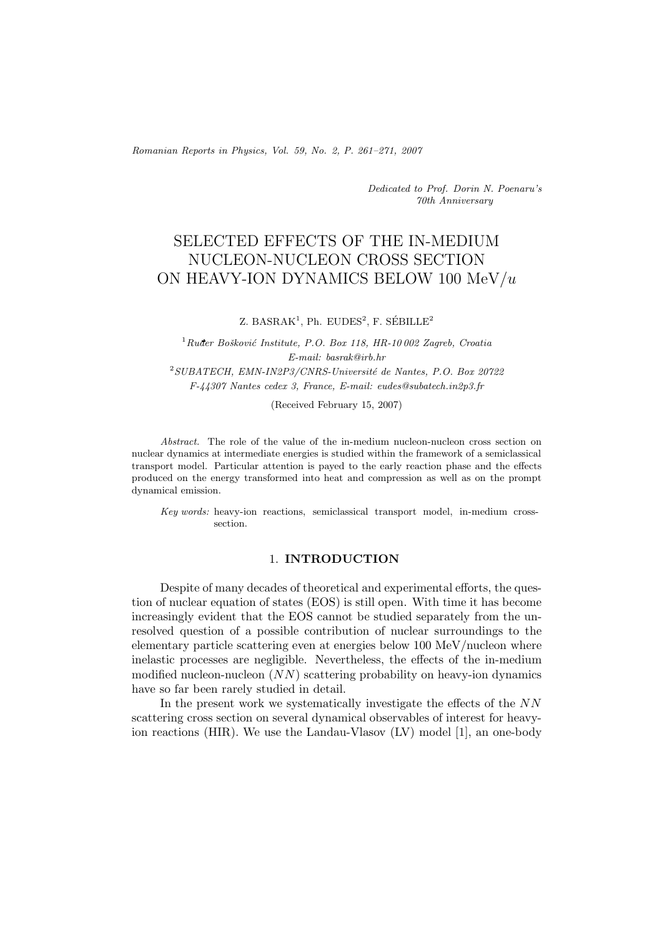*Romanian Reports in Physics, Vol. 59, No. 2, P. 261–271, 2007*

*Dedicated to Prof. Dorin N. Poenaru's 70th Anniversary*

# SELECTED EFFECTS OF THE IN-MEDIUM NUCLEON-NUCLEON CROSS SECTION ON HEAVY-ION DYNAMICS BELOW 100 MeV/*u*

Z. BASRA $K^1$ , Ph. EUDES<sup>2</sup>, F. SÉBILLE<sup>2</sup>

<sup>1</sup> Ruđer Bošković Institute, P.O. Box 118, HR-10 002 Zagreb, Croatia *E-mail: basrak@irb.hr* <sup>2</sup>SUBATECH, EMN-IN2P3/CNRS-Université de Nantes, P.O. Box 20722 *F-44307 Nantes cedex 3, France, E-mail: eudes@subatech.in2p3.fr*

(Received February 15, 2007)

*Abstract.* The role of the value of the in-medium nucleon-nucleon cross section on nuclear dynamics at intermediate energies is studied within the framework of a semiclassical transport model. Particular attention is payed to the early reaction phase and the effects produced on the energy transformed into heat and compression as well as on the prompt dynamical emission.

*Key words:* heavy-ion reactions, semiclassical transport model, in-medium crosssection.

## 1. **INTRODUCTION**

Despite of many decades of theoretical and experimental efforts, the question of nuclear equation of states (EOS) is still open. With time it has become increasingly evident that the EOS cannot be studied separately from the unresolved question of a possible contribution of nuclear surroundings to the elementary particle scattering even at energies below 100 MeV/nucleon where inelastic processes are negligible. Nevertheless, the effects of the in-medium modified nucleon-nucleon  $(NN)$  scattering probability on heavy-ion dynamics have so far been rarely studied in detail.

In the present work we systematically investigate the effects of the NN scattering cross section on several dynamical observables of interest for heavyion reactions (HIR). We use the Landau-Vlasov (LV) model [1], an one-body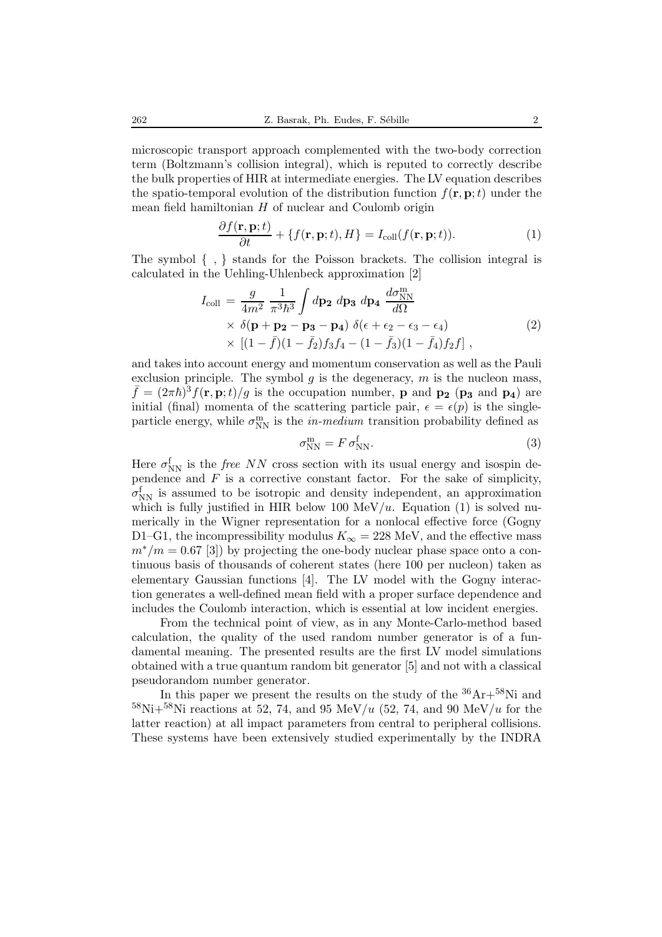microscopic transport approach complemented with the two-body correction term (Boltzmann's collision integral), which is reputed to correctly describe the bulk properties of HIR at intermediate energies. The LV equation describes the spatio-temporal evolution of the distribution function  $f(\mathbf{r}, \mathbf{p}; t)$  under the mean field hamiltonian  $H$  of nuclear and Coulomb origin

$$
\frac{\partial f(\mathbf{r}, \mathbf{p}; t)}{\partial t} + \{f(\mathbf{r}, \mathbf{p}; t), H\} = I_{\text{coll}}(f(\mathbf{r}, \mathbf{p}; t)).
$$
\n(1)

The symbol *{* , *}* stands for the Poisson brackets. The collision integral is calculated in the Uehling-Uhlenbeck approximation [2]

$$
I_{\text{coll}} = \frac{g}{4m^2} \frac{1}{\pi^3 \hbar^3} \int d\mathbf{p_2} \, d\mathbf{p_3} \, d\mathbf{p_4} \, \frac{d\sigma_{\text{NN}}^{\text{m}}}{d\Omega} \times \delta(\mathbf{p} + \mathbf{p_2} - \mathbf{p_3} - \mathbf{p_4}) \, \delta(\epsilon + \epsilon_2 - \epsilon_3 - \epsilon_4) \times \left[ (1 - \bar{f})(1 - \bar{f}_2)f_3 f_4 - (1 - \bar{f}_3)(1 - \bar{f}_4)f_2 f \right], \tag{2}
$$

and takes into account energy and momentum conservation as well as the Pauli exclusion principle. The symbol g is the degeneracy, m is the nucleon mass,  $\bar{f} = (2\pi\hbar)^3 f(\mathbf{r}, \mathbf{p}; t)/g$  is the occupation number, **p** and **p**<sub>2</sub> (**p**<sub>3</sub> and **p**<sub>4</sub>) are initial (final) momenta of the scattering particle pair,  $\epsilon = \epsilon(p)$  is the singleparticle energy, while  $\sigma_{NN}^{\text{m}}$  is the *in-medium* transition probability defined as

$$
\sigma_{\rm NN}^{\rm m} = F \sigma_{\rm NN}^{\rm f}.
$$
\n(3)

Here  $\sigma_{NN}^f$  is the *free NN* cross section with its usual energy and isospin dependence and  $F$  is a corrective constant factor. For the sake of simplicity,  $\sigma_{NN}^f$  is assumed to be isotropic and density independent, an approximation which is fully justified in HIR below 100 MeV/u. Equation (1) is solved numerically in the Wigner representation for a nonlocal effective force (Gogny D1–G1, the incompressibility modulus  $K_{\infty} = 228$  MeV, and the effective mass  $m^*/m = 0.67$  [3]) by projecting the one-body nuclear phase space onto a continuous basis of thousands of coherent states (here 100 per nucleon) taken as elementary Gaussian functions [4]. The LV model with the Gogny interaction generates a well-defined mean field with a proper surface dependence and includes the Coulomb interaction, which is essential at low incident energies.

From the technical point of view, as in any Monte-Carlo-method based calculation, the quality of the used random number generator is of a fundamental meaning. The presented results are the first LV model simulations obtained with a true quantum random bit generator [5] and not with a classical pseudorandom number generator.

In this paper we present the results on the study of the  ${}^{36}\text{Ar}+{}^{58}\text{Ni}$  and  $^{58}\text{Ni} + ^{58}\text{Ni}$  reactions at 52, 74, and 95 MeV/u (52, 74, and 90 MeV/u for the latter reaction) at all impact parameters from central to peripheral collisions. These systems have been extensively studied experimentally by the INDRA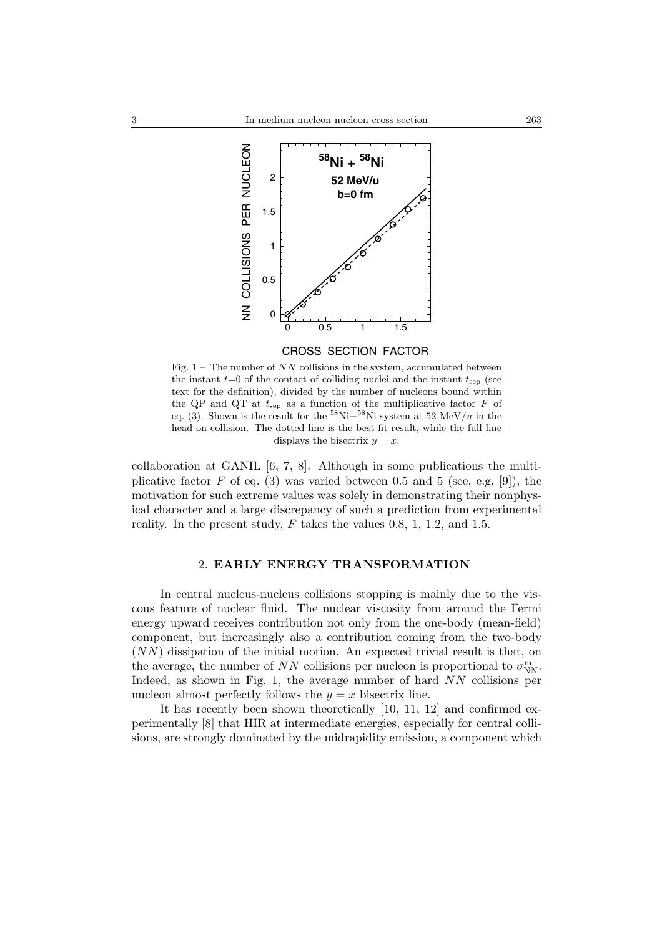

#### CROSS SECTION FACTOR

Fig.  $1 -$  The number of NN collisions in the system, accumulated between the instant  $t=0$  of the contact of colliding nuclei and the instant  $t_{\rm sep}$  (see text for the definition), divided by the number of nucleons bound within the QP and QT at  $t_{\text{sep}}$  as a function of the multiplicative factor  $F$  of eq. (3). Shown is the result for the  ${}^{58}\text{Ni}+{}^{58}\text{Ni}$  system at 52 MeV/u in the head-on collision. The dotted line is the best-fit result, while the full line displays the bisectrix  $y = x$ .

collaboration at GANIL  $[6, 7, 8]$ . Although in some publications the multiplicative factor  $F$  of eq. (3) was varied between 0.5 and 5 (see, e.g. [9]), the motivation for such extreme values was solely in demonstrating their nonphysical character and a large discrepancy of such a prediction from experimental reality. In the present study,  $F$  takes the values 0.8, 1, 1.2, and 1.5.

# 2. **EARLY ENERGY TRANSFORMATION**

In central nucleus-nucleus collisions stopping is mainly due to the viscous feature of nuclear fluid. The nuclear viscosity from around the Fermi energy upward receives contribution not only from the one-body (mean-field) component, but increasingly also a contribution coming from the two-body (NN) dissipation of the initial motion. An expected trivial result is that, on the average, the number of NN collisions per nucleon is proportional to  $\sigma_{\text{NN}}^{\text{m}}$ . Indeed, as shown in Fig. 1, the average number of hard NN collisions per nucleon almost perfectly follows the  $y = x$  bisectrix line.

It has recently been shown theoretically [10, 11, 12] and confirmed experimentally [8] that HIR at intermediate energies, especially for central collisions, are strongly dominated by the midrapidity emission, a component which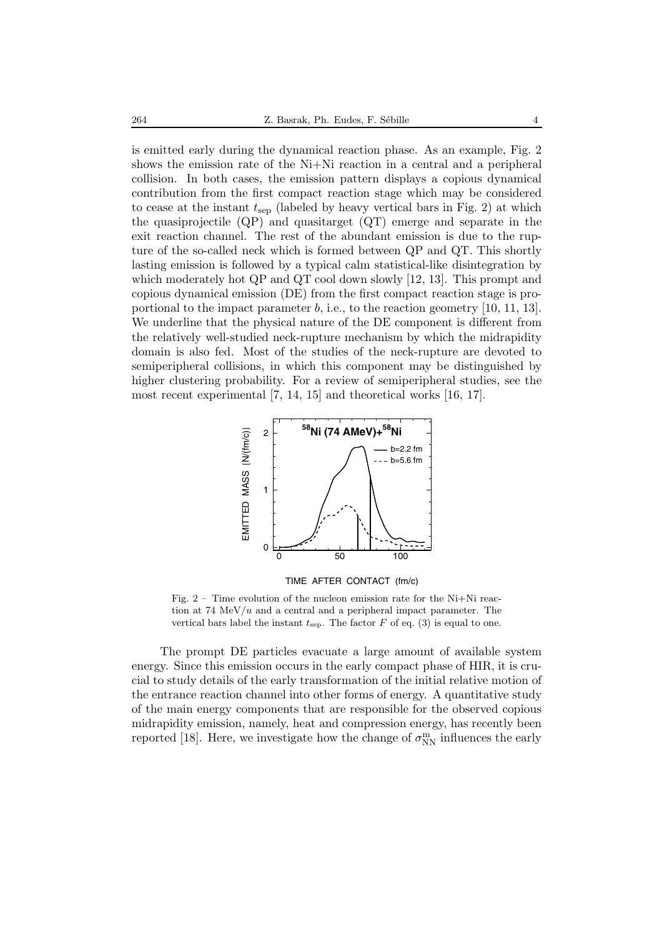is emitted early during the dynamical reaction phase. As an example, Fig. 2 shows the emission rate of the Ni+Ni reaction in a central and a peripheral collision. In both cases, the emission pattern displays a copious dynamical contribution from the first compact reaction stage which may be considered to cease at the instant  $t_{\text{sep}}$  (labeled by heavy vertical bars in Fig. 2) at which the quasiprojectile (QP) and quasitarget (QT) emerge and separate in the exit reaction channel. The rest of the abundant emission is due to the rupture of the so-called neck which is formed between QP and QT. This shortly lasting emission is followed by a typical calm statistical-like disintegration by which moderately hot QP and QT cool down slowly [12, 13]. This prompt and copious dynamical emission (DE) from the first compact reaction stage is proportional to the impact parameter b, i.e., to the reaction geometry  $[10, 11, 13]$ . We underline that the physical nature of the DE component is different from the relatively well-studied neck-rupture mechanism by which the midrapidity domain is also fed. Most of the studies of the neck-rupture are devoted to semiperipheral collisions, in which this component may be distinguished by higher clustering probability. For a review of semiperipheral studies, see the most recent experimental [7, 14, 15] and theoretical works [16, 17].



TIME AFTER CONTACT (fm/c)

Fig.  $2 -$  Time evolution of the nucleon emission rate for the Ni+Ni reaction at 74 MeV/ $u$  and a central and a peripheral impact parameter. The vertical bars label the instant  $t_{\text{sep}}$ . The factor F of eq. (3) is equal to one.

The prompt DE particles evacuate a large amount of available system energy. Since this emission occurs in the early compact phase of HIR, it is crucial to study details of the early transformation of the initial relative motion of the entrance reaction channel into other forms of energy. A quantitative study of the main energy components that are responsible for the observed copious midrapidity emission, namely, heat and compression energy, has recently been reported [18]. Here, we investigate how the change of  $\sigma_{\mathrm{NN}}^{\mathrm{m}}$  influences the early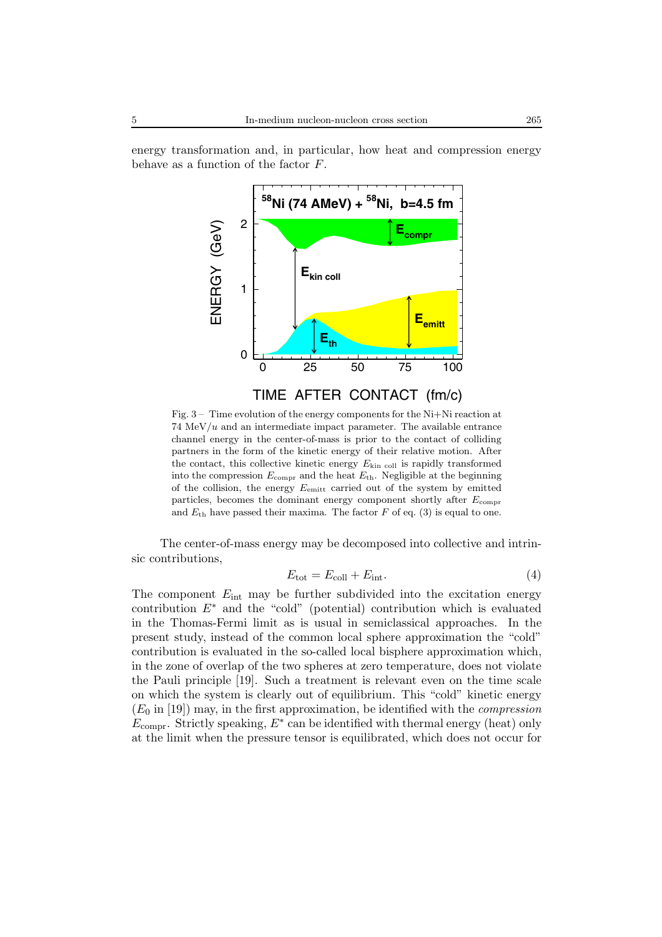energy transformation and, in particular, how heat and compression energy behave as a function of the factor F.



Fig. 3 – Time evolution of the energy components for the Ni+Ni reaction at  $74 \text{ MeV}/u$  and an intermediate impact parameter. The available entrance channel energy in the center-of-mass is prior to the contact of colliding partners in the form of the kinetic energy of their relative motion. After the contact, this collective kinetic energy  $E_{\text{kin cell}}$  is rapidly transformed into the compression  $E_{\text{compr}}$  and the heat  $E_{\text{th}}$ . Negligible at the beginning of the collision, the energy  $E_{\text{emit}}$  carried out of the system by emitted particles, becomes the dominant energy component shortly after  $E_{\text{compr}}$ and  $E_{\text{th}}$  have passed their maxima. The factor F of eq. (3) is equal to one.

The center-of-mass energy may be decomposed into collective and intrinsic contributions,

$$
E_{\text{tot}} = E_{\text{coll}} + E_{\text{int}}.\tag{4}
$$

The component  $E_{\text{int}}$  may be further subdivided into the excitation energy contribution  $E^*$  and the "cold" (potential) contribution which is evaluated in the Thomas-Fermi limit as is usual in semiclassical approaches. In the present study, instead of the common local sphere approximation the "cold" contribution is evaluated in the so-called local bisphere approximation which, in the zone of overlap of the two spheres at zero temperature, does not violate the Pauli principle [19]. Such a treatment is relevant even on the time scale on which the system is clearly out of equilibrium. This "cold" kinetic energy  $(E_0 \text{ in } [19])$  may, in the first approximation, be identified with the *compression*  $E_{\text{compr}}$ . Strictly speaking,  $E^*$  can be identified with thermal energy (heat) only at the limit when the pressure tensor is equilibrated, which does not occur for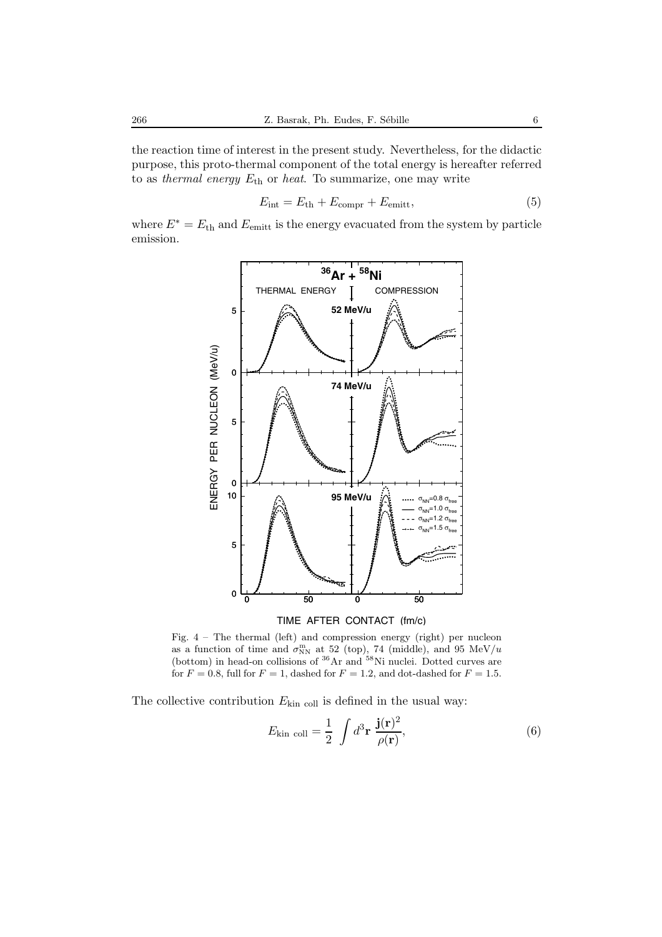the reaction time of interest in the present study. Nevertheless, for the didactic purpose, this proto-thermal component of the total energy is hereafter referred to as *thermal energy* Eth or *heat*. To summarize, one may write

$$
E_{\rm int} = E_{\rm th} + E_{\rm compr} + E_{\rm emitt},\tag{5}
$$

where  $E^* = E_{\text{th}}$  and  $E_{\text{emit}}$  is the energy evacuated from the system by particle emission.



TIME AFTER CONTACT (fm/c)

Fig.  $4$  – The thermal (left) and compression energy (right) per nucleon as a function of time and  $\sigma_{NN}^{m}$  at 52 (top), 74 (middle), and 95 MeV/u (bottom) in head-on collisions of  ${}^{36}Ar$  and  ${}^{58}Ni$  nuclei. Dotted curves are for  $F = 0.8$ , full for  $F = 1$ , dashed for  $F = 1.2$ , and dot-dashed for  $F = 1.5$ .

The collective contribution  $E_{\text{kin cell}}$  is defined in the usual way:

$$
E_{\text{kin coll}} = \frac{1}{2} \int d^3 \mathbf{r} \, \frac{\mathbf{j}(\mathbf{r})^2}{\rho(\mathbf{r})},\tag{6}
$$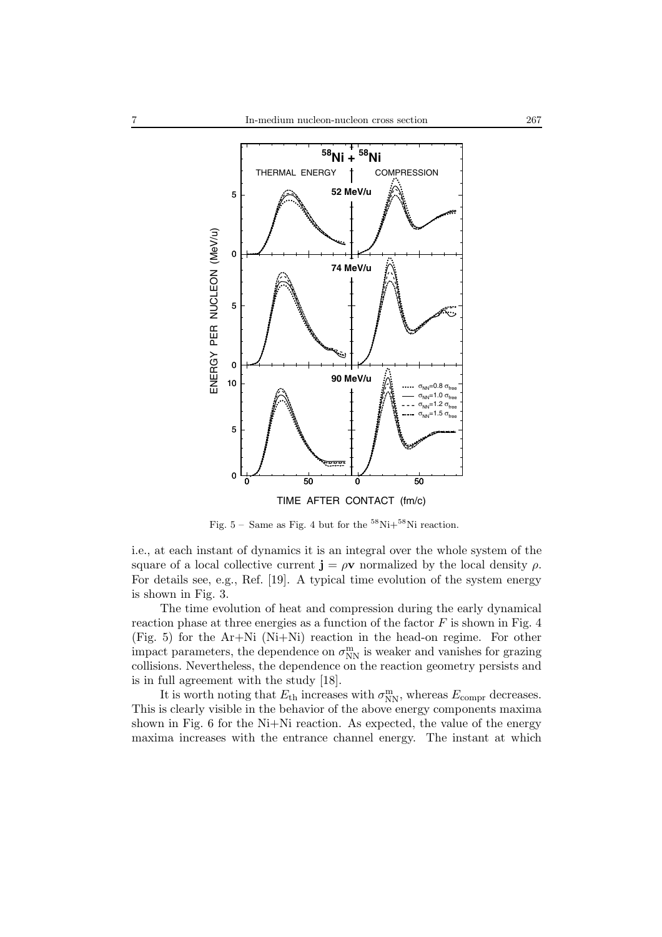

Fig.  $5 -$  Same as Fig. 4 but for the  $58\text{Ni}+58\text{Ni}$  reaction.

i.e., at each instant of dynamics it is an integral over the whole system of the square of a local collective current  $\mathbf{j} = \rho \mathbf{v}$  normalized by the local density  $\rho$ . For details see, e.g., Ref. [19]. A typical time evolution of the system energy is shown in Fig. 3.

The time evolution of heat and compression during the early dynamical reaction phase at three energies as a function of the factor  $F$  is shown in Fig. 4 (Fig. 5) for the Ar+Ni (Ni+Ni) reaction in the head-on regime. For other impact parameters, the dependence on  $\sigma_{\mathrm{NN}}^{\mathrm{m}}$  is weaker and vanishes for grazing collisions. Nevertheless, the dependence on the reaction geometry persists and is in full agreement with the study [18].

It is worth noting that  $E_{\text{th}}$  increases with  $\sigma_{\text{NN}}^{\text{m}}$ , whereas  $E_{\text{compr}}$  decreases. This is clearly visible in the behavior of the above energy components maxima shown in Fig. 6 for the Ni+Ni reaction. As expected, the value of the energy maxima increases with the entrance channel energy. The instant at which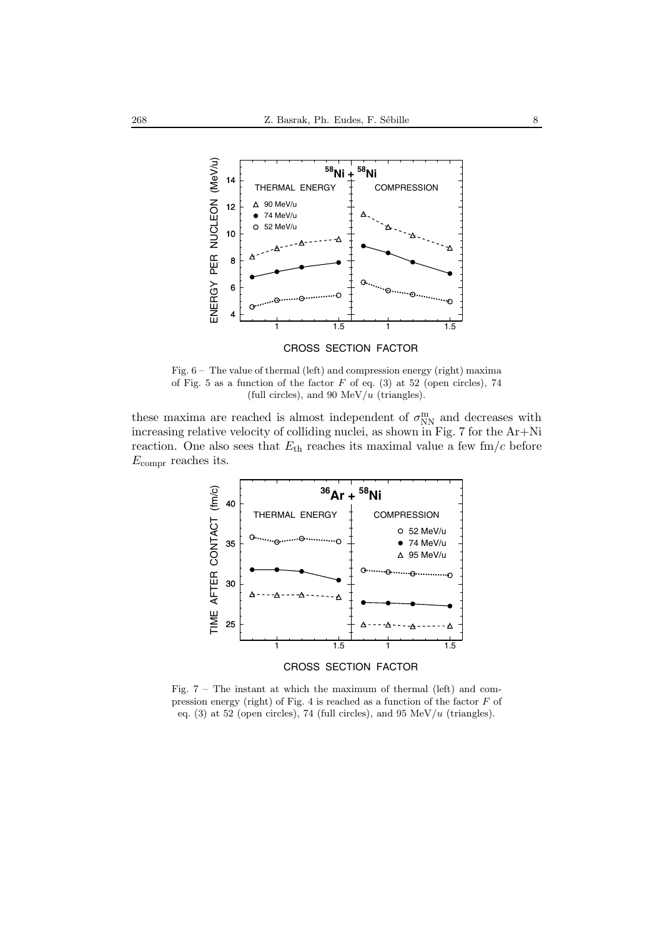

Fig. 6 – The value of thermal (left) and compression energy (right) maxima of Fig. 5 as a function of the factor  $F$  of eq. (3) at 52 (open circles), 74 (full circles), and 90  $MeV/u$  (triangles).

these maxima are reached is almost independent of  $\sigma_{\text{NN}}^{\text{m}}$  and decreases with increasing relative velocity of colliding nuclei, as shown in Fig. 7 for the Ar+Ni reaction. One also sees that  $E_{\text{th}}$  reaches its maximal value a few fm/c before  $E_{\text{compr}}$  reaches its.



Fig. 7 – The instant at which the maximum of thermal (left) and compression energy (right) of Fig. 4 is reached as a function of the factor F of eq. (3) at 52 (open circles), 74 (full circles), and 95  $MeV/u$  (triangles).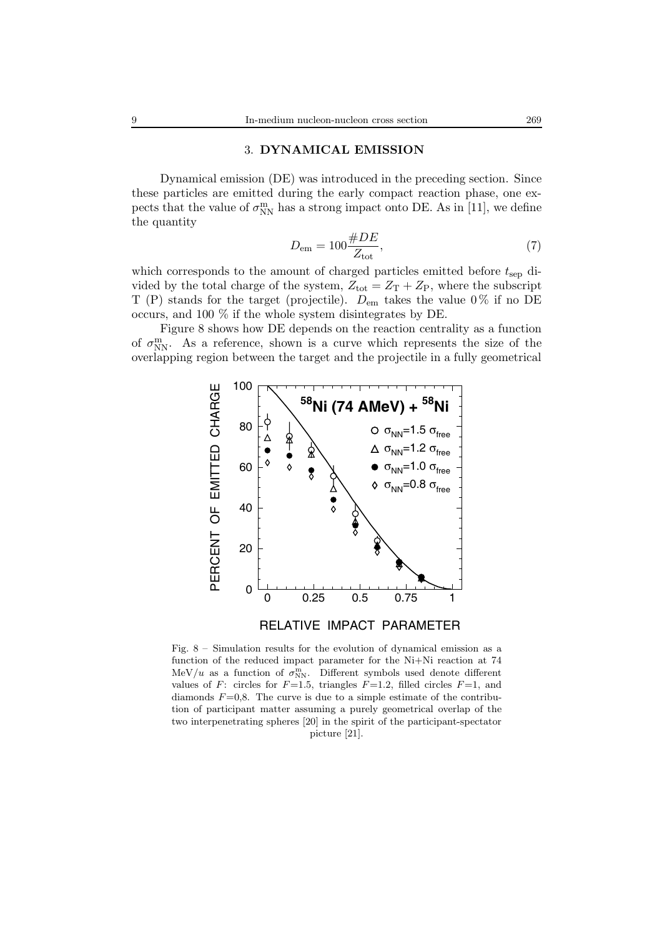# 3. **DYNAMICAL EMISSION**

Dynamical emission (DE) was introduced in the preceding section. Since these particles are emitted during the early compact reaction phase, one expects that the value of  $\sigma_{\text{NN}}^{\text{m}}$  has a strong impact onto DE. As in [11], we define the quantity

$$
D_{\rm em} = 100 \frac{\#DE}{Z_{\rm tot}},\tag{7}
$$

which corresponds to the amount of charged particles emitted before  $t_{\rm sep}$  divided by the total charge of the system,  $Z_{\text{tot}} = Z_{\text{T}} + Z_{\text{P}}$ , where the subscript T (P) stands for the target (projectile).  $D_{\rm em}$  takes the value 0% if no DE occurs, and 100 % if the whole system disintegrates by DE.

Figure 8 shows how DE depends on the reaction centrality as a function of  $\sigma_{NN}^{m}$ . As a reference, shown is a curve which represents the size of the overlapping region between the target and the projectile in a fully geometrical



RELATIVE IMPACT PARAMETER

Fig. 8 – Simulation results for the evolution of dynamical emission as a function of the reduced impact parameter for the Ni+Ni reaction at 74 MeV/u as a function of  $\sigma_{NN}^{m}$ . Different symbols used denote different values of F: circles for  $F=1.5$ , triangles  $F=1.2$ , filled circles  $F=1$ , and diamonds  $F=0,8$ . The curve is due to a simple estimate of the contribution of participant matter assuming a purely geometrical overlap of the two interpenetrating spheres [20] in the spirit of the participant-spectator picture [21].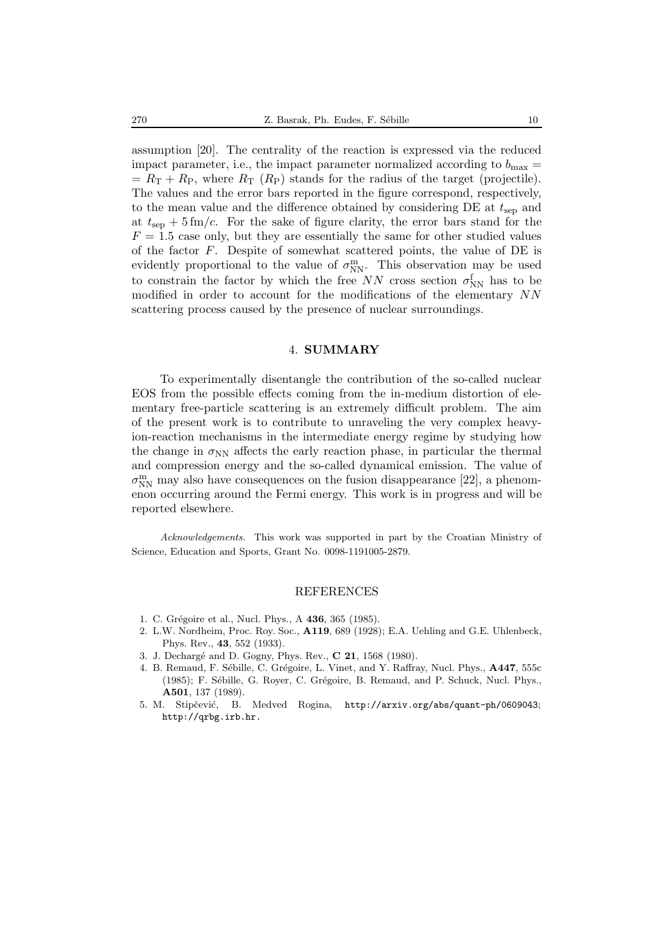assumption [20]. The centrality of the reaction is expressed via the reduced impact parameter, i.e., the impact parameter normalized according to  $b_{\text{max}} =$  $= R_{\rm T} + R_{\rm P}$ , where  $R_{\rm T}$  ( $R_{\rm P}$ ) stands for the radius of the target (projectile). The values and the error bars reported in the figure correspond, respectively, to the mean value and the difference obtained by considering  $DE$  at  $t_{\rm sep}$  and at  $t_{\rm sep}$  + 5 fm/c. For the sake of figure clarity, the error bars stand for the  $F = 1.5$  case only, but they are essentially the same for other studied values of the factor F. Despite of somewhat scattered points, the value of DE is evidently proportional to the value of  $\sigma_{NN}^{m}$ . This observation may be used to constrain the factor by which the free  $NN$  cross section  $\sigma_{NN}^{\text{f}}$  has to be modified in order to account for the modifications of the elementary NN scattering process caused by the presence of nuclear surroundings.

#### 4. **SUMMARY**

To experimentally disentangle the contribution of the so-called nuclear EOS from the possible effects coming from the in-medium distortion of elementary free-particle scattering is an extremely difficult problem. The aim of the present work is to contribute to unraveling the very complex heavyion-reaction mechanisms in the intermediate energy regime by studying how the change in  $\sigma_{NN}$  affects the early reaction phase, in particular the thermal and compression energy and the so-called dynamical emission. The value of  $\sigma_{\mathrm{NN}}^{\mathrm{m}}$  may also have consequences on the fusion disappearance [22], a phenomenon occurring around the Fermi energy. This work is in progress and will be reported elsewhere.

*Acknowledgements.* This work was supported in part by the Croatian Ministry of Science, Education and Sports, Grant No. 0098-1191005-2879.

#### REFERENCES

- 1. C. Grégoire et al., Nucl. Phys., A **436**, 365 (1985).
- 2. L.W. Nordheim, Proc. Roy. Soc., **A119**, 689 (1928); E.A. Uehling and G.E. Uhlenbeck, Phys. Rev., **43**, 552 (1933).
- 3. J. Decharg´e and D. Gogny, Phys. Rev., **C 21**, 1568 (1980).
- 4. B. Remaud, F. Sébille, C. Grégoire, L. Vinet, and Y. Raffray, Nucl. Phys.,  $\mathbf{A447}$ , 555c (1985); F. Sébille, G. Royer, C. Grégoire, B. Remaud, and P. Schuck, Nucl. Phys., **A501**, 137 (1989).
- 5. M. Stipčević, B. Medved Rogina, http://arxiv.org/abs/quant-ph/0609043; http://qrbg.irb.hr.